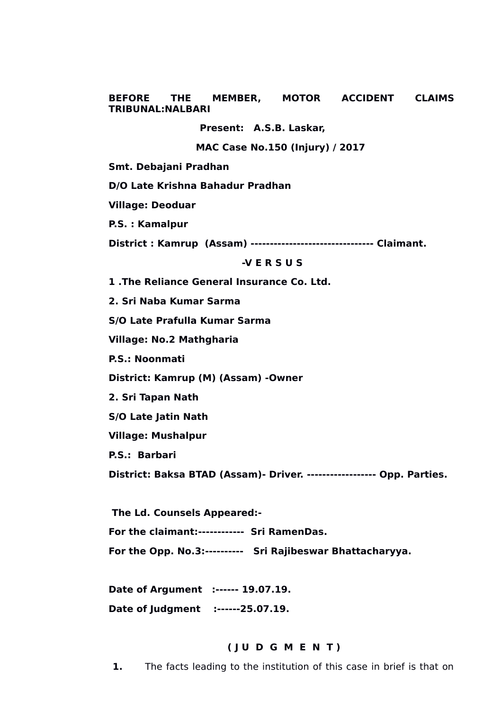**BEFORE THE MEMBER, MOTOR ACCIDENT CLAIMS TRIBUNAL:NALBARI**

**Present: A.S.B. Laskar,**

 **MAC Case No.150 (Injury) / 2017**

**Smt. Debajani Pradhan** 

**D/O Late Krishna Bahadur Pradhan**

**Village: Deoduar**

**P.S. : Kamalpur**

**District : Kamrup (Assam) -------------------------------- Claimant.** 

#### **-V E R S U S**

**1 .The Reliance General Insurance Co. Ltd.**

**2. Sri Naba Kumar Sarma**

**S/O Late Prafulla Kumar Sarma**

**Village: No.2 Mathgharia**

**P.S.: Noonmati**

**District: Kamrup (M) (Assam) -Owner**

**2. Sri Tapan Nath**

**S/O Late Jatin Nath**

**Village: Mushalpur**

**P.S.: Barbari**

**District: Baksa BTAD (Assam)- Driver. ------------------ Opp. Parties.**

 **The Ld. Counsels Appeared:- For the claimant:------------ Sri RamenDas. For the Opp. No.3:---------- Sri Rajibeswar Bhattacharyya.**

**Date of Argument :------ 19.07.19.**

# **Date of Judgment :------25.07.19.**

#### **( J U D G M E N T )**

**1.** The facts leading to the institution of this case in brief is that on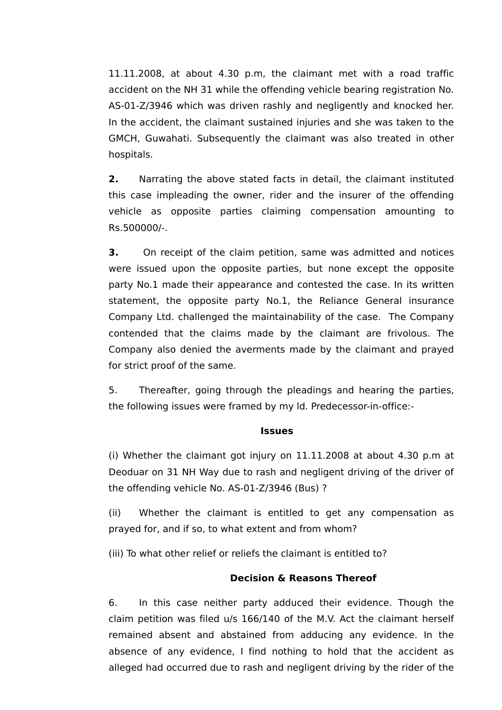11.11.2008, at about 4.30 p.m, the claimant met with a road traffic accident on the NH 31 while the offending vehicle bearing registration No. AS-01-Z/3946 which was driven rashly and negligently and knocked her. In the accident, the claimant sustained injuries and she was taken to the GMCH, Guwahati. Subsequently the claimant was also treated in other hospitals.

**2.** Narrating the above stated facts in detail, the claimant instituted this case impleading the owner, rider and the insurer of the offending vehicle as opposite parties claiming compensation amounting to Rs.500000/-

**3.** On receipt of the claim petition, same was admitted and notices were issued upon the opposite parties, but none except the opposite party No.1 made their appearance and contested the case. In its written statement, the opposite party No.1, the Reliance General insurance Company Ltd. challenged the maintainability of the case. The Company contended that the claims made by the claimant are frivolous. The Company also denied the averments made by the claimant and prayed for strict proof of the same.

5. Thereafter, going through the pleadings and hearing the parties, the following issues were framed by my ld. Predecessor-in-office:-

## **Issues**

(i) Whether the claimant got injury on 11.11.2008 at about 4.30 p.m at Deoduar on 31 NH Way due to rash and negligent driving of the driver of the offending vehicle No. AS-01-Z/3946 (Bus) ?

(ii) Whether the claimant is entitled to get any compensation as prayed for, and if so, to what extent and from whom?

(iii) To what other relief or reliefs the claimant is entitled to?

## **Decision & Reasons Thereof**

6. In this case neither party adduced their evidence. Though the claim petition was filed u/s 166/140 of the M.V. Act the claimant herself remained absent and abstained from adducing any evidence. In the absence of any evidence, I find nothing to hold that the accident as alleged had occurred due to rash and negligent driving by the rider of the